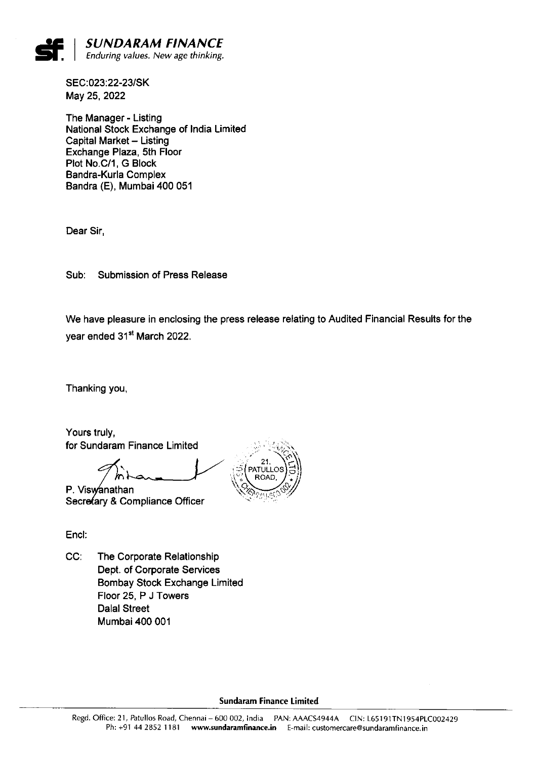

SEC:023:22-23/SK May 25, 2022

The Manager -Listing National Stock Exchange of India Limited Capital Market - Listing Exchange Plaza, 5th Floor Plot No.C/1, G Block Bandra-Kurla Complex Bandra (E), Mumbai 400 051

Dear Sir,

Sub: Submission of Press Release

We have pleasure in enclosing the press release relating to Audited Financial Results for the year ended 31<sup>st</sup> March 2022.

Thanking you,

Yours truly, for Sundaram Finance Limited

Secre $\mathsf{fary}$  & Compliance Officer  $\qquad \qquad \ddots$ P. Viswanathan



Encl:

CC: The Corporate Relationship Dept. of Corporate Services Bombay Stock Exchange Limited Floor 25, P J Towers Dalal Street Mumbai 400 001

Sundaram Finance Limited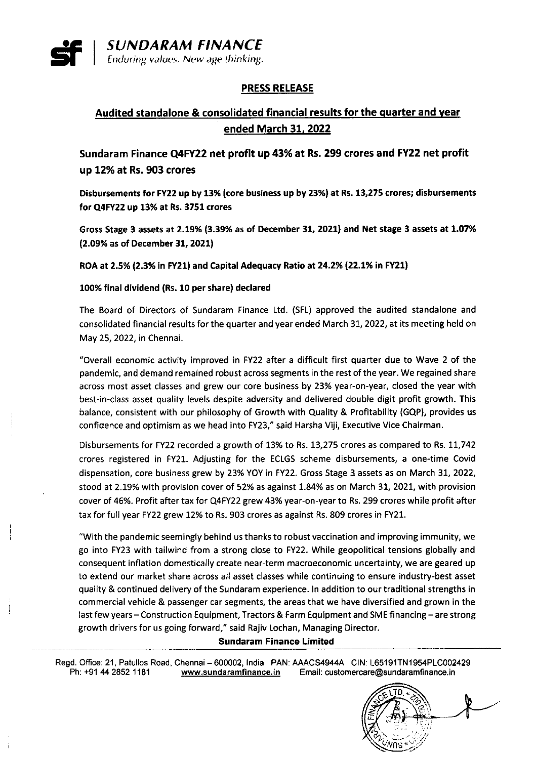

Enduring values. New age thinking.

### PRESS RELEASE

## Audited standalone & consolidated financial results for the quarter and vear ended March 31. 2022

Sundaram Finance Q4FY22 net profit up 43% at Rs. 299 crores and FY22 net profit up 12% at Rs. 903 crores

Disbursements for FY22 up by 13% (core business up by 23%) at Rs. 13,275 crores; disbursements for Q4FY2Z up 13% at Rs. 3751 crores

Gross Stage 3 assets at 2.19% (3.39% as of December 31, 2021) and Net stage 3 assets at 1.07% (2.09% as Of December 31, 2021)

ROA at 2.5% (2.3% in FY21) and Capital Adequacy Ratio at 24.2% (22.1% in FY21)

#### 100% final dividend (Rs.10 per share) declared

The Board of Directors of Sundaram Finance Ltd. (SFL) approved the audited standalone and consolidated financial results for the quarter and year ended March 31, 2022, at its meeting held on May 25, 2022, in Chennai.

"Overall economic activity improved in FY22 after a diffioult first quarter due to Wave 2 of the pandemic, and demand remained robust across segments in the rest of the year. We regained share across most asset classes and grew our core business by 23% year-on-year, closed the year with best-in-class asset quality levels despite adversity and delivered double digit profit growth. This balance, consistent with our philosophy of Growth with Quality & Profitability (GQP), provides us confidence and optimism as we head into FY23," said Harsha Viji, Executive Vice Chairman.

Disbursements for FY22 recorded a growth of 13% to Rs. 13,275 crores as compared to Rs. 11,742 crores registered in FY21. Adjusting for the ECLGS scheme disbursements, a one-time Covid dispensation, core business grew by 23% YOY in FY22. Gross Stage 3 assets as on March 31, 2022, stood at 2.19% with provision cover of 52% as against 1.84% as on March 31, 2021, with provision cover of 46%. Profit after tax for Q4FY22 grew 43% year-on-year to Rs. 299 crores while profit after tax for full year FY22 grew 12% to Rs. 903 crores as against Rs. 809 crores in FY21.

"With the pandemic seemingly behind us thanks to robust vaccination and improving immunity, we go into FY23 with tailwind from a strong close to FY22. While geopolitical tensions globally and consequent inflation domestically create near-term macroeconomic uncertainty, we are geared up to extend our market share across all asset classes while continuing to ensure industry-best asset quality & continued delivery of the Sundaram experience. In addition to our traditional strengths in commercial vehicle & passenger car segments, the areas that we have diversified and grown in the last few years - Construction Equipment, Tractors & Farm Equipment and SME financing - are strong growth drivers for us going forward," said Rajiv Lochan, Managing Director.

#### Sundaram Finance Limited

Regd. Office: 21, Patullos Road, Chennai – 600002, India PAN: AAACS4944A CIN: L65191TN1954PLC002429 Ph: +91 44 2852 1181 **WWW.sundaramfinance.in** Email: customercare@sundaramfinance.in

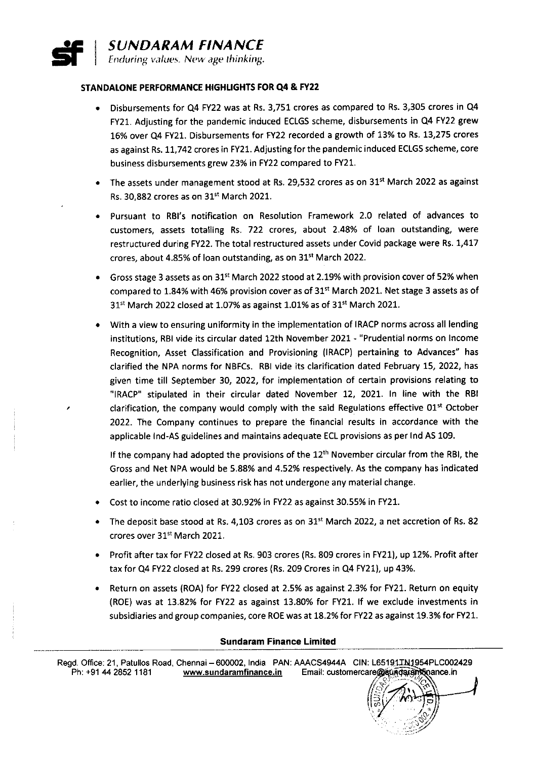# # SUNDARAM FINANCE Enduring values. New age thinking.

#### STANDALONE PERFORMANCE HIGHLIGHTS FOR Q4 & FY22

- Disbursements for Q4 FY22 was at Rs. 3,751 crores as compared to Rs. 3,305 crores in Q4 FY21. Adjusting for the pandemic induced ECLGS scheme, disbursements in Q4 FY22 grew 16% over Q4 FY21. Disbursements for FY22 recorded a growth of 13% to Rs.13,275 crores as against Rs.11,742 crores in FY21. Adjusting for the pandemic induced ECLGS scheme, core business disbursements grew 23% in FY22 compared to FY21.
- The assets under management stood at Rs. 29,532 crores as on 31<sup>st</sup> March 2022 as against Rs. 30.882 crores as on  $31<sup>st</sup>$  March 2021.
- Pursuant to RBl's notification on Resolution Framework 2.0 related of advances to customers, assets totalling Rs. 722 crores, about 2.48% of loan outstanding, were restructured during FY22. The total restructured assets under Covid package were Rs. 1,417 crores, about 4.85% of loan outstanding, as on  $31^{st}$  March 2022.
- Gross stage 3 assets as on 31<sup>st</sup> March 2022 stood at 2.19% with provision cover of 52% when compared to 1.84% with 46% provision cover as of  $31<sup>st</sup>$  March 2021. Net stage 3 assets as of 31<sup>st</sup> March 2022 closed at 1.07% as against 1.01% as of 31<sup>st</sup> March 2021.
- With a view to ensuring uniformity in the implementation of lRACP norms across all lending institutions, RBl vide its circular dated 12th November 2021 -''Prudential norms on Income Recognition, Asset Classification and Provisioning (lRACP) pertaining to Advances" has clarified the NPA norms for NBFCs. RBl vide its clarification dated February 15, 2022, has given time till September 30, 2022, for implementation of certain provisions relating to "lRACP" stipulated in their circular dated November 12, 2021. In line with the RBI clarification, the company would comply with the said Regulations effective  $01<sup>st</sup>$  October 2022. The Company continues to prepare the financial results in accordance with the applicable lnd-AS guidelines and maintains adequate ECL provisions as per lnd AS 109.

If the company had adopted the provisions of the 12<sup>th</sup> November circular from the RBI, the Gross and Net NPA would be 5.88% and 4.52% respectively. As the company has indicated earlier, the underlying business risk has not undergone any material change.

- Cost to income ratio closed at 30.92% in FY22 as against 30.55% in FY21.
- The deposit base stood at Rs. 4,103 crores as on  $31<sup>st</sup>$  March 2022, a net accretion of Rs. 82 crores over 31<sup>st</sup> March 2021.
- Profit after tax for FY22 closed at Rs. 903 crores (Rs. 809 crores in FY21), up 12%. Profit after tax for Q4 FY22 closed at Rs. 299 crores (Rs. 209 Crores in Q4 FY21), up 43%.
- Return on assets (ROA) for FY22 closed at 2.5% as against 2.3% for FY21. Return on equity (ROE) was at 13.82% for FY22 as against 13.80% for FY21. If we exclude investments in subsidiaries and group companies, core ROE was at 18.2% for FY22 as against 19.3% for FY21.

#### Sundaram Finance Limited

Regd. Office: 21, Patulios Road, Chennai – 600002, India PAN: AAACS4944A CIN: L65191IN1954PLC002429 Ph: +91 44 2852 1181 www.sundaramfinance.in Email: customercare@sundaramtinance.in

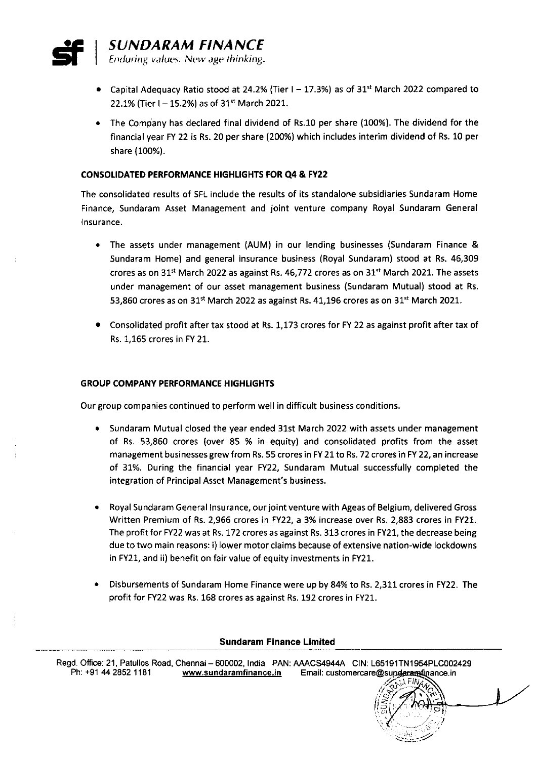

- Capital Adequacy Ratio stood at 24.2% (Tier  $I 17.3%$ ) as of 31<sup>st</sup> March 2022 compared to 22.1% (Tier I - 15.2%) as of 31<sup>st</sup> March 2021.
- The Company has declared final dividend of Rs.10 per share (100%). The dividend for the financial year FY 22 is Rs. 20 per share (200%) which includes interim dividend of Rs. 10 per share (100%).

#### CONSOLIDATED PERFORMANCE HIGHLIGHTS FOR Q4 & FY22

The consolidated results of SFL include the results of its standalone subsidiaries Sundaram Home Finance, Sundaram Asset Management and joint venture company Royal Sundaram General Insurance.

- The assets under management (AUM) in our lending businesses (Sundaram Finance & Sundaram Home) and general insurance business (Royal Sundaram) stood at Rs. 46,309 crores as on 31<sup>st</sup> March 2022 as against Rs. 46,772 crores as on 31<sup>st</sup> March 2021. The assets under management of our asset management business (Sundaram Mutual) stood at Rs. 53,860 crores as on 31<sup>st</sup> March 2022 as against Rs. 41,196 crores as on 31<sup>st</sup> March 2021.
- Consolidated profit after tax stood at Rs.1,173 crores for FY 22 as against profit after tax of Rs.1,165 crores in FY 21.

#### GROUP COMPANY PERFORMANCE HIGHLIGHTS

Our group companies continued to perform well in difficult business conditions.

- Sundaram Mutual closed the year ended 31st March 2022 with assets under management of Rs. 53,860 crores (over 85 % in equity) and consolidated profits from the asset management businesses grew from Rs. 55 crores in FY 21 to Rs. 72 crores in FY 22, an increase of 31%. During the financial year FY22, Sundaram Mutual successfully completed the integration of Principal Asset Management's business.
- Royal sundaram General Insurance, ourjoint venture with Ageas of Belgium, delivered Gross Written Premium of Rs. 2,966 crores in FY22, a 3% increase over Rs. 2,883 crores in FY21. The profit for FY22 was at Rs.172 crores as against Rs. 313 crores in FY21, the decrease being due to two main reasons: i) lower motor claims because of extensive nation-wide lockdowns in FY21, and ii) benefit on fair value of equity investments in FY21.
- Disbursements of sundaram Home Finance were up by 84% to Rs. 2,311 crores in FY22. The profit for FY22 was Rs. 168 crores as against Rs.192 crores in FY21.

#### Sundaram Finance Limited

Regd. Office: 21, Patullos Road, Chennai - 600002, India PAN: AAACS4944A CIN: L65191TN1954PLC002429 Ph: +91 44 2852 1181 www.sundaramfinance.in Email: customercare@sunderamfinance.in